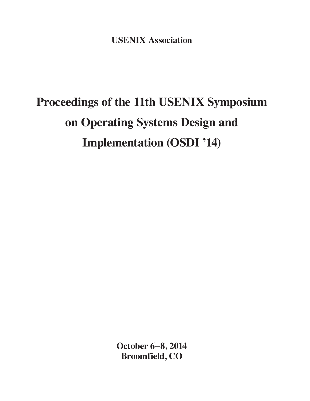**USENIX Association**

# **Proceedings of the 11th USENIX Symposium on Operating Systems Design and Implementation (OSDI '14)**

**October 6–8, 2014 Broomfield, CO**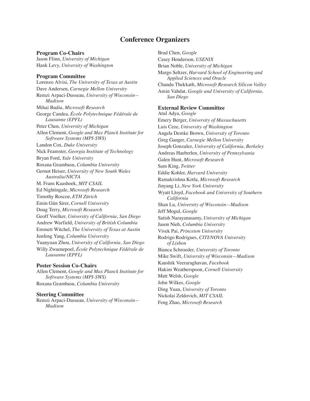### **Conference Organizers**

#### **Program Co-Chairs**

Jason Flinn, *University of Michigan* Hank Levy, *University of Washington*

#### **Program Committee**

Lorenzo Alvisi, *The University of Texas at Austin* Dave Andersen, *Carnegie Mellon University* Remzi Arpaci-Dusseau, *University of Wisconsin— Madison* Mihai Budiu, *Microsoft Research* George Candea, *École Polytechnique Fédérale de Lausanne (EPFL)* Peter Chen, *University of Michigan* Allen Clement, *Google and Max Planck Institute for Software Systems (MPI-SWS)* Landon Cox, *Duke University* Nick Feamster, *Georgia Institute of Technology* Bryan Ford, *Yale University* Roxana Geambasu, *Columbia University* Gernot Heiser, *University of New South Wales Australia/NICTA* M. Frans Kaashoek, *MIT CSAIL* Ed Nightingale, *Microsoft Research* Timothy Roscoe, *ETH Zürich* Emin Gün Sirer, *Cornell University* Doug Terry, *Microsoft Research* Geoff Voelker, *University of California, San Diego* Andrew Warfield, *University of British Columbia* Emmett Witchel, *The University of Texas at Austin* Junfeng Yang, *Columbia University* Yuanyuan Zhou, *University of California, San Diego* Willy Zwaenepoel, *École Polytechnique Fédérale de Lausanne (EPFL)*

**Poster Session Co-Chairs** Allen Clement, *Google and Max Planck Institute for Software Systems (MPI-SWS)* Roxana Geambasu, *Columbia University*

#### **Steering Committee**

Remzi Arpaci-Dusseau, *University of Wisconsin— Madison*

Brad Chen, *Google* Casey Henderson, *USENIX* Brian Noble, *University of Michigan* Margo Seltzer, *Harvard School of Engineering and Applied Sciences and Oracle* Chandu Thekkath, *Microsoft Research Silicon Valley* Amin Vahdat, *Google and University of California, San Diego* **External Review Committee** Atul Adya, *Google* Emery Berger, *University of Massachusetts* Luis Ceze, *University of Washington* Angela Demke Brown, *University of Toronto* Greg Ganger, *Carnegie Mellon University* Joseph Gonzalez, *University of California, Berkeley* Andreas Haeberlen, *University of Pennsylvania* Galen Hunt, *Microsoft Research* Sam King, *Twitter* Eddie Kohler, *Harvard University* Ramakrishna Kotla, *Microsoft Research* Jinyang Li, *New York University* Wyatt Lloyd, *Facebook and University of Southern California* Shan Lu, *University of Wisconsin—Madison* Jeff Mogul, *Google* Satish Narayanasamy, *University of Michigan* Jason Nieh, *Columbia University* Vivek Pai, *Princeton University* Rodrigo Rodrigues, *CITI/NOVA University of Lisbon* Bianca Schroeder, *University of Toronto* Mike Swift, *University of Wisconsin—Madison* Kaushik Veeraraghavan, *Facebook* Hakim Weatherspoon, *Cornell University* Matt Welsh, *Google* John Wilkes, *Google* Ding Yuan, *University of Toronto* Nickolai Zeldovich, *MIT CSAIL* Feng Zhao, *Microsoft Research*